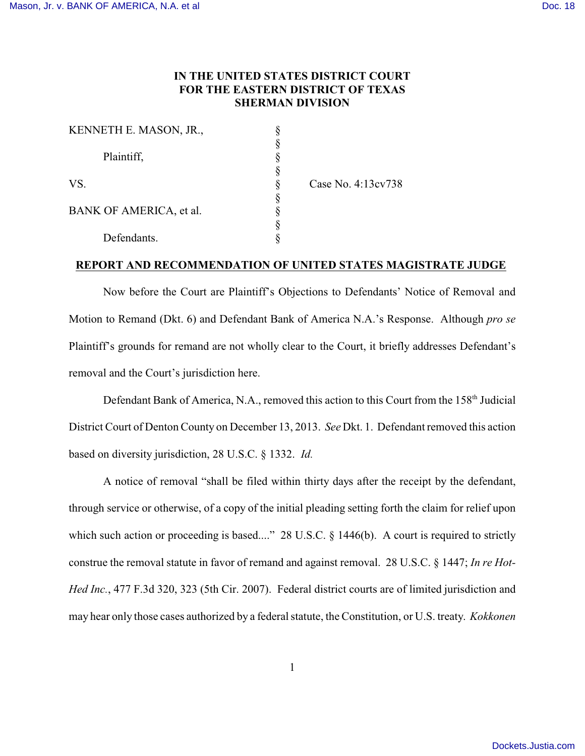## **IN THE UNITED STATES DISTRICT COURT FOR THE EASTERN DISTRICT OF TEXAS SHERMAN DIVISION**

| KENNETH E. MASON, JR.,  |  |
|-------------------------|--|
| Plaintiff,              |  |
| VS.                     |  |
|                         |  |
| BANK OF AMERICA, et al. |  |
| Defendants.             |  |

Case No. 4:13cv738

## **REPORT AND RECOMMENDATION OF UNITED STATES MAGISTRATE JUDGE**

Now before the Court are Plaintiff's Objections to Defendants' Notice of Removal and Motion to Remand (Dkt. 6) and Defendant Bank of America N.A.'s Response. Although *pro se* Plaintiff's grounds for remand are not wholly clear to the Court, it briefly addresses Defendant's removal and the Court's jurisdiction here.

Defendant Bank of America, N.A., removed this action to this Court from the 158<sup>th</sup> Judicial District Court of Denton County on December 13, 2013. *See* Dkt. 1. Defendant removed this action based on diversity jurisdiction, 28 U.S.C. § 1332. *Id.*

A notice of removal "shall be filed within thirty days after the receipt by the defendant, through service or otherwise, of a copy of the initial pleading setting forth the claim for relief upon which such action or proceeding is based...." 28 U.S.C. § 1446(b). A court is required to strictly construe the removal statute in favor of remand and against removal. 28 U.S.C. § 1447; *In re Hot-Hed Inc.*, 477 F.3d 320, 323 (5th Cir. 2007). Federal district courts are of limited jurisdiction and may hear only those cases authorized by a federal statute, the Constitution, or U.S. treaty. *Kokkonen*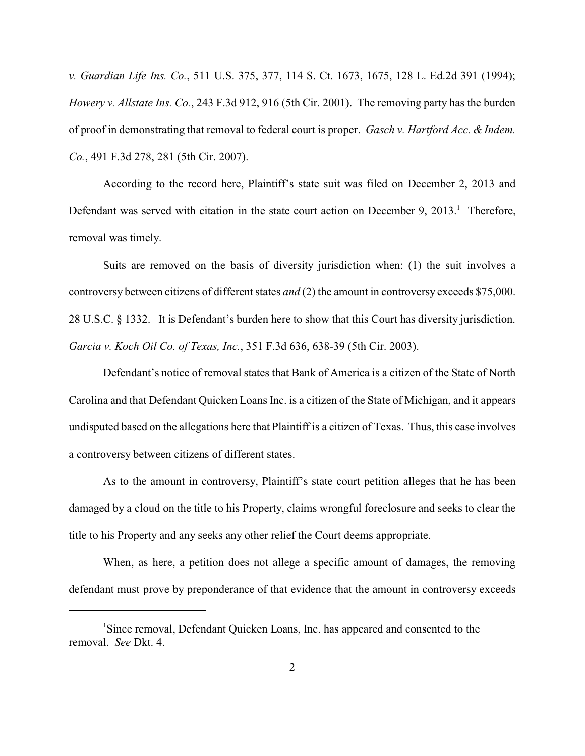*v. Guardian Life Ins. Co.*, 511 U.S. 375, 377, 114 S. Ct. 1673, 1675, 128 L. Ed.2d 391 (1994); *Howery v. Allstate Ins. Co.*, 243 F.3d 912, 916 (5th Cir. 2001). The removing party has the burden of proof in demonstrating that removal to federal court is proper. *Gasch v. Hartford Acc. & Indem. Co.*, 491 F.3d 278, 281 (5th Cir. 2007).

According to the record here, Plaintiff's state suit was filed on December 2, 2013 and Defendant was served with citation in the state court action on December 9, 2013.<sup>1</sup> Therefore, removal was timely.

Suits are removed on the basis of diversity jurisdiction when: (1) the suit involves a controversy between citizens of different states *and* (2) the amount in controversy exceeds \$75,000. 28 U.S.C. § 1332. It is Defendant's burden here to show that this Court has diversity jurisdiction. *Garcia v. Koch Oil Co. of Texas, Inc.*, 351 F.3d 636, 638-39 (5th Cir. 2003).

Defendant's notice of removal states that Bank of America is a citizen of the State of North Carolina and that Defendant Quicken Loans Inc. is a citizen of the State of Michigan, and it appears undisputed based on the allegations here that Plaintiff is a citizen of Texas. Thus, this case involves a controversy between citizens of different states.

As to the amount in controversy, Plaintiff's state court petition alleges that he has been damaged by a cloud on the title to his Property, claims wrongful foreclosure and seeks to clear the title to his Property and any seeks any other relief the Court deems appropriate.

When, as here, a petition does not allege a specific amount of damages, the removing defendant must prove by preponderance of that evidence that the amount in controversy exceeds

<sup>&</sup>lt;sup>1</sup>Since removal, Defendant Quicken Loans, Inc. has appeared and consented to the removal. *See* Dkt. 4.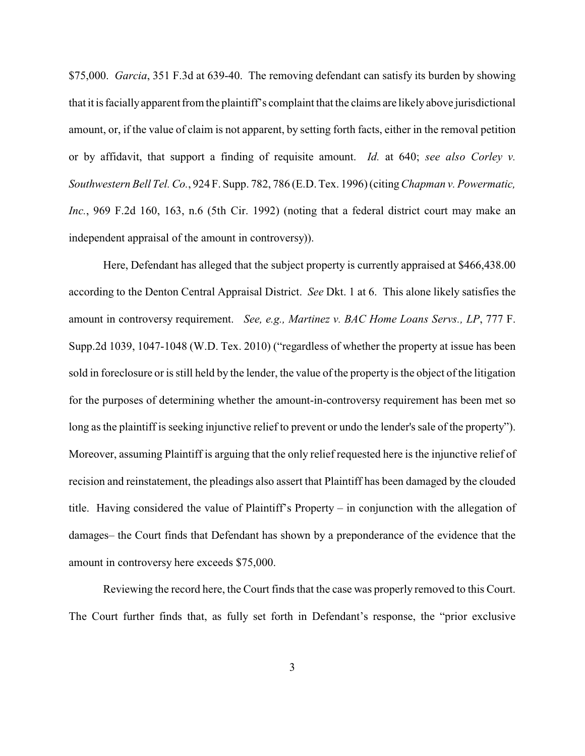\$75,000. *Garcia*, 351 F.3d at 639-40. The removing defendant can satisfy its burden by showing that it is facially apparent from the plaintiff's complaint that the claims are likely above jurisdictional amount, or, if the value of claim is not apparent, by setting forth facts, either in the removal petition or by affidavit, that support a finding of requisite amount. *Id.* at 640; *see also Corley v. Southwestern Bell Tel. Co.*, 924 F. Supp. 782, 786 (E.D. Tex. 1996) (citing *Chapman v. Powermatic, Inc.*, 969 F.2d 160, 163, n.6 (5th Cir. 1992) (noting that a federal district court may make an independent appraisal of the amount in controversy)).

Here, Defendant has alleged that the subject property is currently appraised at \$466,438.00 according to the Denton Central Appraisal District. *See* Dkt. 1 at 6. This alone likely satisfies the amount in controversy requirement. *See, e.g., Martinez v. BAC Home Loans Servs., LP*, 777 F. Supp.2d 1039, 1047-1048 (W.D. Tex. 2010) ("regardless of whether the property at issue has been sold in foreclosure or is still held by the lender, the value of the property is the object of the litigation for the purposes of determining whether the amount-in-controversy requirement has been met so long as the plaintiff is seeking injunctive relief to prevent or undo the lender's sale of the property"). Moreover, assuming Plaintiff is arguing that the only relief requested here is the injunctive relief of recision and reinstatement, the pleadings also assert that Plaintiff has been damaged by the clouded title. Having considered the value of Plaintiff's Property – in conjunction with the allegation of damages– the Court finds that Defendant has shown by a preponderance of the evidence that the amount in controversy here exceeds \$75,000.

Reviewing the record here, the Court finds that the case was properly removed to this Court. The Court further finds that, as fully set forth in Defendant's response, the "prior exclusive